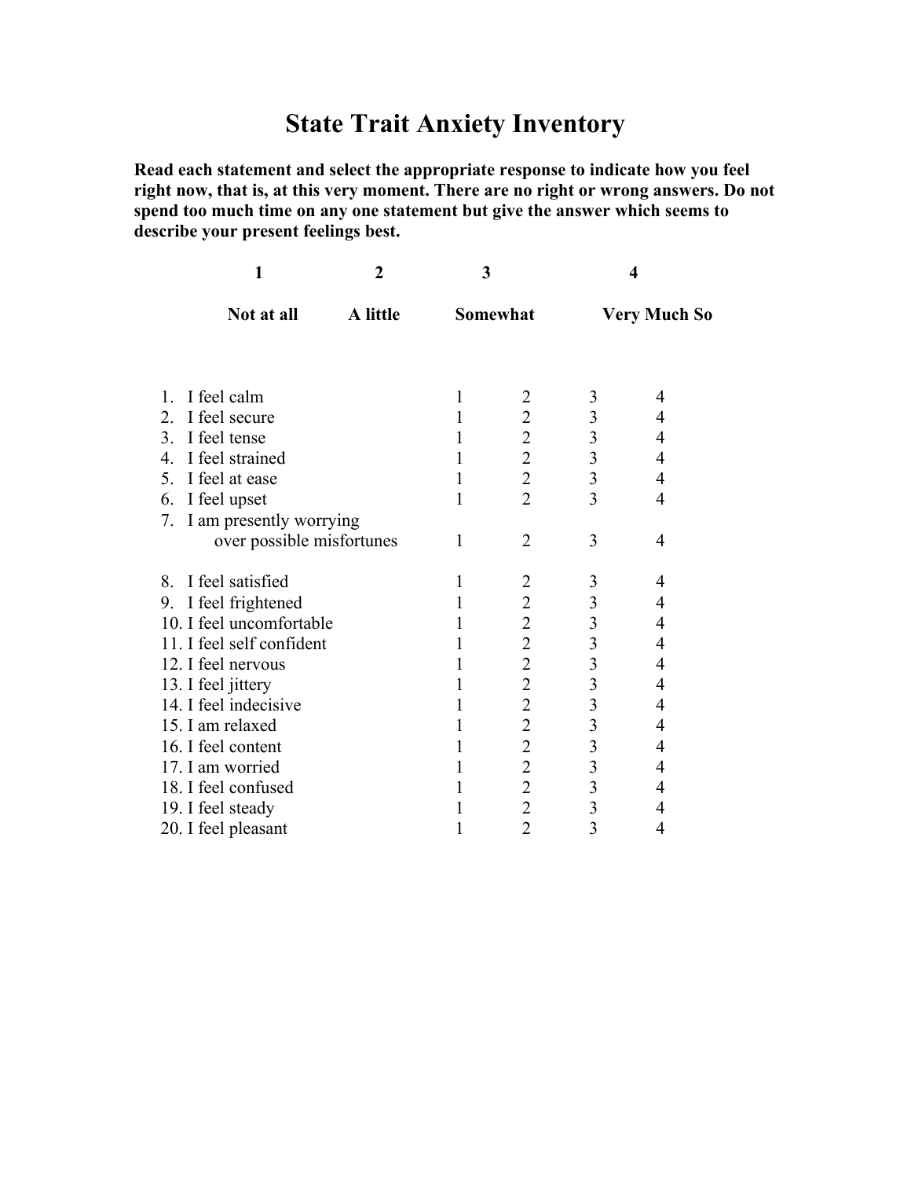# **State Trait Anxiety Inventory**

**Read each statement and select the appropriate response to indicate how you feel right now, that is, at this very moment. There are no right or wrong answers. Do not spend too much time on any one statement but give the answer which seems to describe your present feelings best.**

|                  | 1                         | $\mathbf{2}$<br>A little | 3<br>Somewhat  |                         | 4<br><b>Very Much So</b>                        |   |
|------------------|---------------------------|--------------------------|----------------|-------------------------|-------------------------------------------------|---|
|                  | Not at all                |                          |                |                         |                                                 |   |
|                  |                           |                          |                |                         |                                                 |   |
| $\mathbf{1}$ .   | I feel calm               |                          | 1              | $\overline{2}$          | 3                                               | 4 |
| 2.               | I feel secure             |                          | 1              | $\overline{c}$          | $\overline{\mathbf{3}}$                         | 4 |
| 3 <sub>1</sub>   | I feel tense              |                          | 1              | $\overline{2}$          |                                                 | 4 |
| 4.               | I feel strained           |                          | 1              | $\overline{2}$          |                                                 | 4 |
| 5.               | I feel at ease            |                          | 1              | $\overline{2}$          | $\begin{array}{c} 3 \\ 3 \\ 3 \end{array}$      | 4 |
| 6.               | I feel upset              |                          | 1              | $\overline{2}$          |                                                 | 4 |
| 7.               | I am presently worrying   |                          |                |                         |                                                 |   |
|                  | over possible misfortunes |                          | 1              | $\overline{2}$          | 3                                               | 4 |
| 8.               | I feel satisfied          |                          | 1              | 2                       | 3                                               | 4 |
| 9.               | I feel frightened         |                          | 1              | $\overline{2}$          | $\overline{\mathbf{3}}$                         | 4 |
|                  | 10. I feel uncomfortable  |                          | 1              | $\overline{2}$          | $\overline{\mathbf{3}}$                         | 4 |
|                  | 11. I feel self confident | 1                        | $\overline{2}$ |                         | 4                                               |   |
|                  | 12. I feel nervous        |                          | 1              | $\overline{2}$          | $\begin{array}{c} 3 \\ 3 \\ 3 \\ 3 \end{array}$ | 4 |
|                  | 13. I feel jittery        |                          | 1              | $\overline{2}$          |                                                 | 4 |
|                  | 14. I feel indecisive     |                          |                | $\overline{2}$          |                                                 | 4 |
| 15. I am relaxed |                           |                          | 1              | $\overline{2}$          |                                                 | 4 |
|                  | 16. I feel content        |                          |                | $\overline{2}$          | $\overline{3}$                                  | 4 |
|                  | 17. I am worried          | 1                        | $\overline{2}$ | $\overline{\mathbf{3}}$ | 4                                               |   |
|                  | 18. I feel confused       | 1                        | $\overline{2}$ | $\overline{\mathbf{3}}$ | 4                                               |   |
|                  | 19. I feel steady         | 1                        | $\overline{2}$ | $\overline{\mathbf{3}}$ | 4                                               |   |
|                  | 20. I feel pleasant       | 1                        | $\overline{2}$ | $\overline{3}$          | 4                                               |   |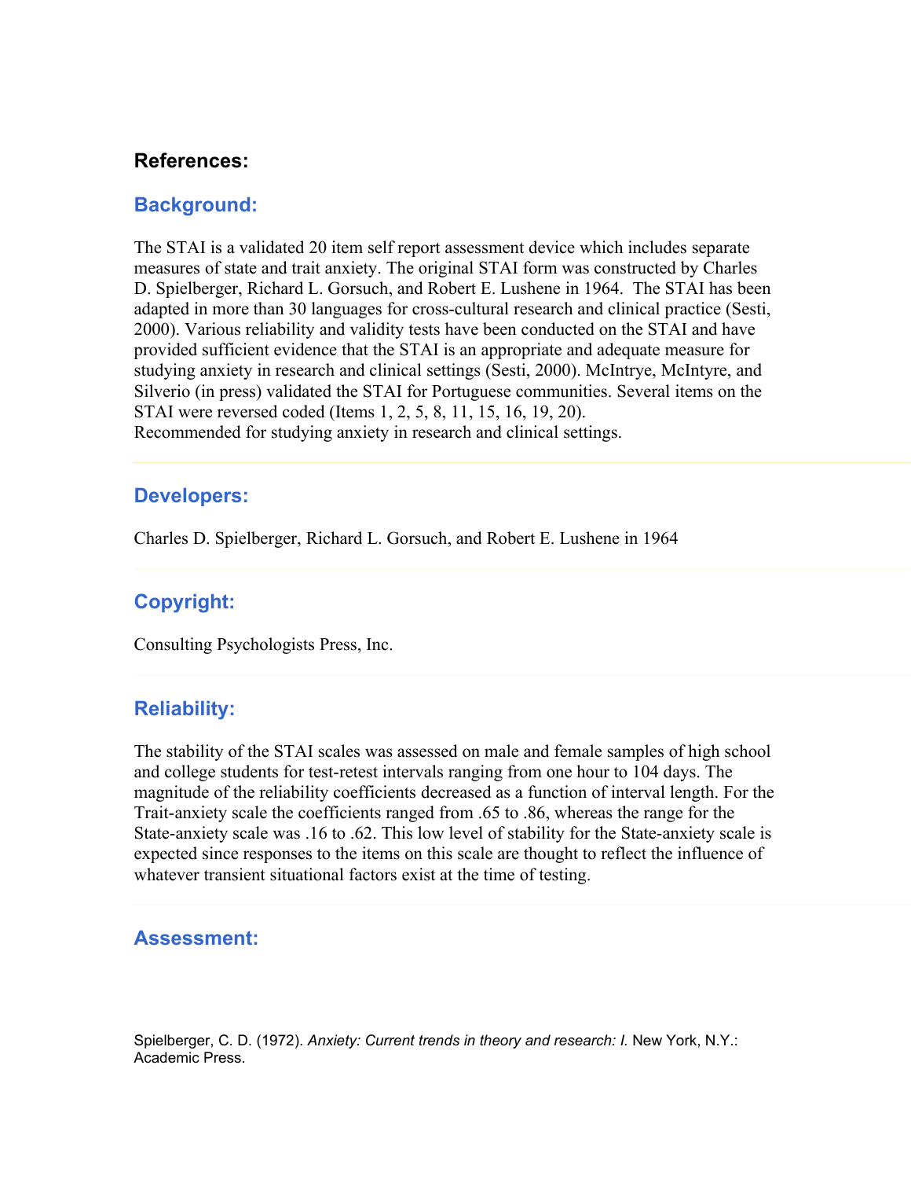## **References:**

### **Background:**

The STAI is a validated 20 item self report assessment device which includes separate measures of state and trait anxiety. The original STAI form was constructed by Charles D. Spielberger, Richard L. Gorsuch, and Robert E. Lushene in 1964. The STAI has been adapted in more than 30 languages for cross-cultural research and clinical practice (Sesti, 2000). Various reliability and validity tests have been conducted on the STAI and have provided sufficient evidence that the STAI is an appropriate and adequate measure for studying anxiety in research and clinical settings (Sesti, 2000). McIntrye, McIntyre, and Silverio (in press) validated the STAI for Portuguese communities. Several items on the STAI were reversed coded (Items 1, 2, 5, 8, 11, 15, 16, 19, 20). Recommended for studying anxiety in research and clinical settings.

#### **Developers:**

Charles D. Spielberger, Richard L. Gorsuch, and Robert E. Lushene in 1964

## **Copyright:**

Consulting Psychologists Press, Inc.

#### **Reliability:**

The stability of the STAI scales was assessed on male and female samples of high school and college students for test-retest intervals ranging from one hour to 104 days. The magnitude of the reliability coefficients decreased as a function of interval length. For the Trait-anxiety scale the coefficients ranged from .65 to .86, whereas the range for the State-anxiety scale was .16 to .62. This low level of stability for the State-anxiety scale is expected since responses to the items on this scale are thought to reflect the influence of whatever transient situational factors exist at the time of testing.

#### **Assessment:**

Spielberger, C. D. (1972). *Anxiety: Current trends in theory and research: I.* New York, N.Y.: Academic Press.